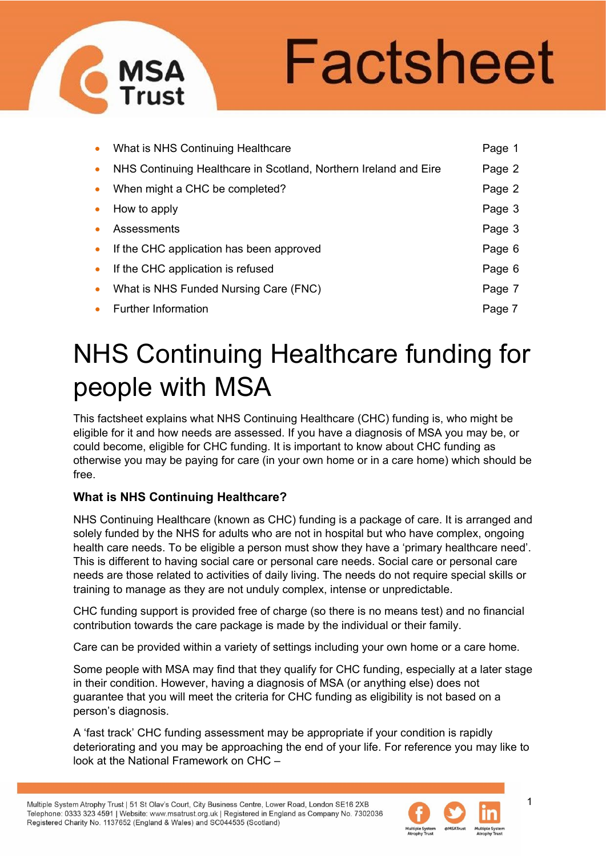# Factsheet

|           | • What is NHS Continuing Healthcare                              | Page 1 |
|-----------|------------------------------------------------------------------|--------|
| $\bullet$ | NHS Continuing Healthcare in Scotland, Northern Ireland and Eire | Page 2 |
| $\bullet$ | When might a CHC be completed?                                   | Page 2 |
| $\bullet$ | How to apply                                                     | Page 3 |
| $\bullet$ | Assessments                                                      | Page 3 |
| $\bullet$ | If the CHC application has been approved                         | Page 6 |
| $\bullet$ | If the CHC application is refused                                | Page 6 |
| $\bullet$ | What is NHS Funded Nursing Care (FNC)                            | Page 7 |
| $\bullet$ | <b>Further Information</b>                                       | Page 7 |

## NHS Continuing Healthcare funding for people with MSA

This factsheet explains what NHS Continuing Healthcare (CHC) funding is, who might be eligible for it and how needs are assessed. If you have a diagnosis of MSA you may be, or could become, eligible for CHC funding. It is important to know about CHC funding as otherwise you may be paying for care (in your own home or in a care home) which should be free.

### **What is NHS Continuing Healthcare?**

NHS Continuing Heathcare

NHS Continuing Healthcare (known as CHC) funding is a package of care. It is arranged and solely funded by the NHS for adults who are not in hospital but who have complex, ongoing health care needs. To be eligible a person must show they have a 'primary healthcare need'. This is different to having social care or personal care needs. Social care or personal care needs are those related to activities of daily living. The needs do not require special skills or training to manage as they are not unduly complex, intense or unpredictable.

CHC funding support is provided free of charge (so there is no means test) and no financial contribution towards the care package is made by the individual or their family.

Care can be provided within a variety of settings including your own home or a care home.

Some people with MSA may find that they qualify for CHC funding, especially at a later stage in their condition. However, having a diagnosis of MSA (or anything else) does not guarantee that you will meet the criteria for CHC funding as eligibility is not based on a person's diagnosis.

A 'fast track' CHC funding assessment may be appropriate if your condition is rapidly deteriorating and you may be approaching the end of your life. For reference you may like to look at the National Framework on CHC –



1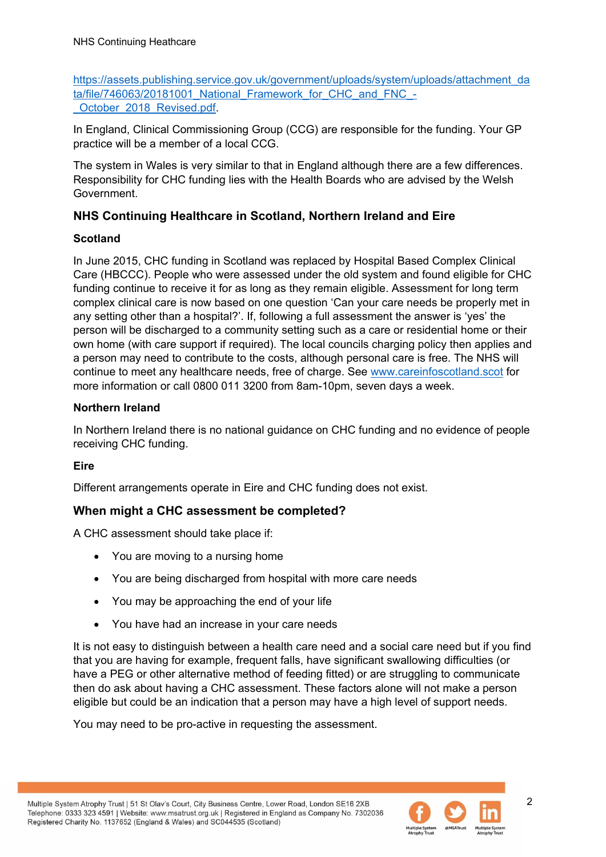[https://assets.publishing.service.gov.uk/government/uploads/system/uploads/attachment\\_da](https://assets.publishing.service.gov.uk/government/uploads/system/uploads/attachment_data/file/746063/20181001_National_Framework_for_CHC_and_FNC_-_October_2018_Revised.pdf) ta/file/746063/20181001 National Framework for CHC and FNC -[\\_October\\_2018\\_Revised.pdf.](https://assets.publishing.service.gov.uk/government/uploads/system/uploads/attachment_data/file/746063/20181001_National_Framework_for_CHC_and_FNC_-_October_2018_Revised.pdf)

In England, Clinical Commissioning Group (CCG) are responsible for the funding. Your GP practice will be a member of a local CCG.

The system in Wales is very similar to that in England although there are a few differences. Responsibility for CHC funding lies with the Health Boards who are advised by the Welsh Government.

#### **NHS Continuing Healthcare in Scotland, Northern Ireland and Eire**

#### **Scotland**

In June 2015, CHC funding in Scotland was replaced by Hospital Based Complex Clinical Care (HBCCC). People who were assessed under the old system and found eligible for CHC funding continue to receive it for as long as they remain eligible. Assessment for long term complex clinical care is now based on one question 'Can your care needs be properly met in any setting other than a hospital?'. If, following a full assessment the answer is 'yes' the person will be discharged to a community setting such as a care or residential home or their own home (with care support if required). The local councils charging policy then applies and a person may need to contribute to the costs, although personal care is free. The NHS will continue to meet any healthcare needs, free of charge. See [www.careinfoscotland.scot](http://www.careinfoscotland.scot/) for more information or call 0800 011 3200 from 8am-10pm, seven days a week.

#### **Northern Ireland**

In Northern Ireland there is no national guidance on CHC funding and no evidence of people receiving CHC funding.

#### **Eire**

Different arrangements operate in Eire and CHC funding does not exist.

#### **When might a CHC assessment be completed?**

A CHC assessment should take place if:

- You are moving to a nursing home
- You are being discharged from hospital with more care needs
- You may be approaching the end of your life
- You have had an increase in your care needs

It is not easy to distinguish between a health care need and a social care need but if you find that you are having for example, frequent falls, have significant swallowing difficulties (or have a PEG or other alternative method of feeding fitted) or are struggling to communicate then do ask about having a CHC assessment. These factors alone will not make a person eligible but could be an indication that a person may have a high level of support needs.

You may need to be pro-active in requesting the assessment.



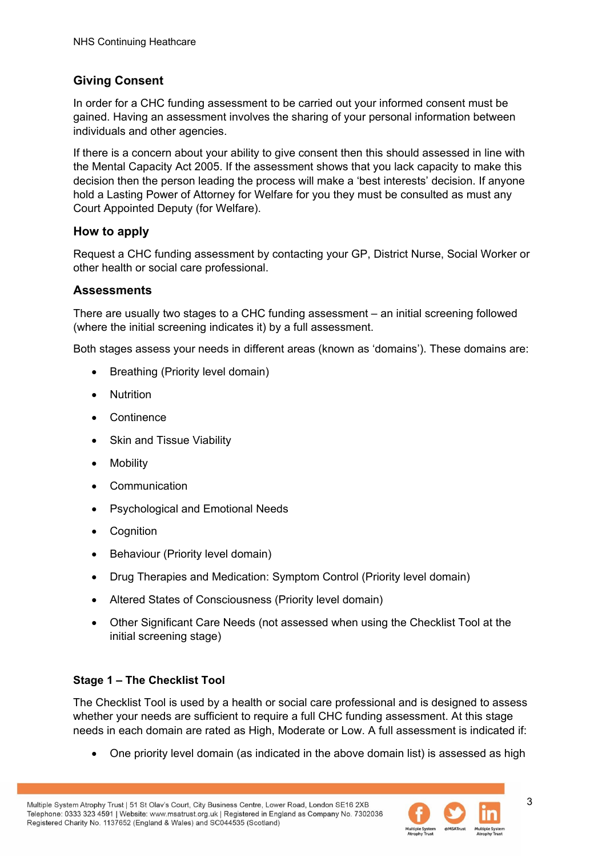#### **Giving Consent**

In order for a CHC funding assessment to be carried out your informed consent must be gained. Having an assessment involves the sharing of your personal information between individuals and other agencies.

If there is a concern about your ability to give consent then this should assessed in line with the Mental Capacity Act 2005. If the assessment shows that you lack capacity to make this decision then the person leading the process will make a 'best interests' decision. If anyone hold a Lasting Power of Attorney for Welfare for you they must be consulted as must any Court Appointed Deputy (for Welfare).

#### **How to apply**

Request a CHC funding assessment by contacting your GP, District Nurse, Social Worker or other health or social care professional.

#### **Assessments**

There are usually two stages to a CHC funding assessment – an initial screening followed (where the initial screening indicates it) by a full assessment.

Both stages assess your needs in different areas (known as 'domains'). These domains are:

- Breathing (Priority level domain)
- Nutrition
- Continence
- Skin and Tissue Viability
- Mobility
- Communication
- Psychological and Emotional Needs
- Cognition
- Behaviour (Priority level domain)
- Drug Therapies and Medication: Symptom Control (Priority level domain)
- Altered States of Consciousness (Priority level domain)
- Other Significant Care Needs (not assessed when using the Checklist Tool at the initial screening stage)

#### **Stage 1 – The Checklist Tool**

The Checklist Tool is used by a health or social care professional and is designed to assess whether your needs are sufficient to require a full CHC funding assessment. At this stage needs in each domain are rated as High, Moderate or Low. A full assessment is indicated if:

• One priority level domain (as indicated in the above domain list) is assessed as high

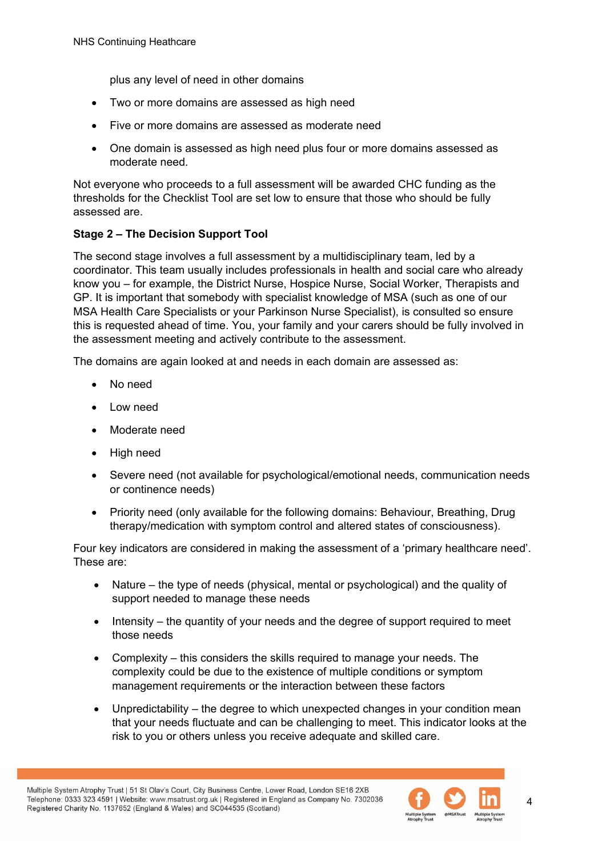plus any level of need in other domains

- Two or more domains are assessed as high need
- Five or more domains are assessed as moderate need
- One domain is assessed as high need plus four or more domains assessed as moderate need.

Not everyone who proceeds to a full assessment will be awarded CHC funding as the thresholds for the Checklist Tool are set low to ensure that those who should be fully assessed are.

#### **Stage 2 – The Decision Support Tool**

The second stage involves a full assessment by a multidisciplinary team, led by a coordinator. This team usually includes professionals in health and social care who already know you – for example, the District Nurse, Hospice Nurse, Social Worker, Therapists and GP. It is important that somebody with specialist knowledge of MSA (such as one of our MSA Health Care Specialists or your Parkinson Nurse Specialist), is consulted so ensure this is requested ahead of time. You, your family and your carers should be fully involved in the assessment meeting and actively contribute to the assessment.

The domains are again looked at and needs in each domain are assessed as:

- No need
- Low need
- Moderate need
- High need
- Severe need (not available for psychological/emotional needs, communication needs or continence needs)
- Priority need (only available for the following domains: Behaviour, Breathing, Drug therapy/medication with symptom control and altered states of consciousness).

Four key indicators are considered in making the assessment of a 'primary healthcare need'. These are:

- Nature the type of needs (physical, mental or psychological) and the quality of support needed to manage these needs
- Intensity the quantity of your needs and the degree of support required to meet those needs
- Complexity this considers the skills required to manage your needs. The complexity could be due to the existence of multiple conditions or symptom management requirements or the interaction between these factors
- Unpredictability the degree to which unexpected changes in your condition mean that your needs fluctuate and can be challenging to meet. This indicator looks at the risk to you or others unless you receive adequate and skilled care.



4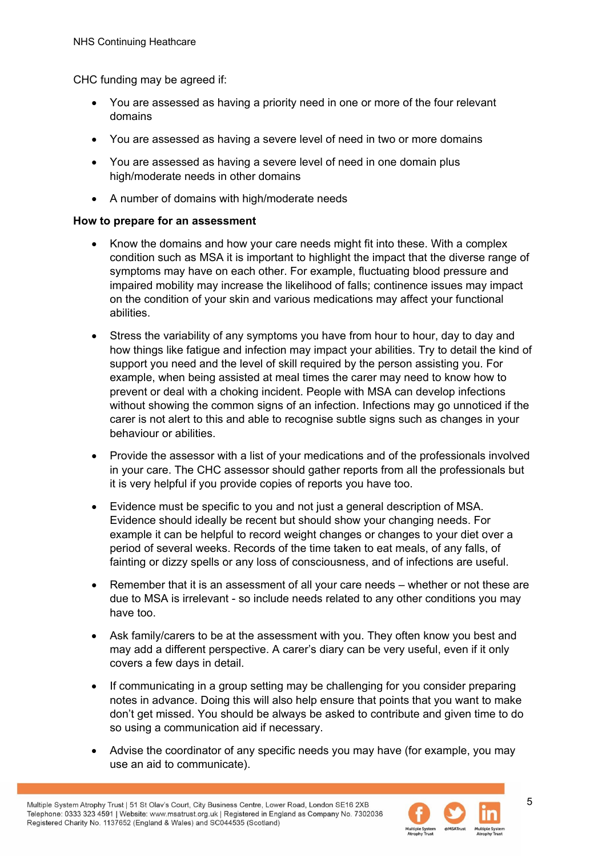CHC funding may be agreed if:

- You are assessed as having a priority need in one or more of the four relevant domains
- You are assessed as having a severe level of need in two or more domains
- You are assessed as having a severe level of need in one domain plus high/moderate needs in other domains
- A number of domains with high/moderate needs

#### **How to prepare for an assessment**

- Know the domains and how your care needs might fit into these. With a complex condition such as MSA it is important to highlight the impact that the diverse range of symptoms may have on each other. For example, fluctuating blood pressure and impaired mobility may increase the likelihood of falls; continence issues may impact on the condition of your skin and various medications may affect your functional abilities.
- Stress the variability of any symptoms you have from hour to hour, day to day and how things like fatigue and infection may impact your abilities. Try to detail the kind of support you need and the level of skill required by the person assisting you. For example, when being assisted at meal times the carer may need to know how to prevent or deal with a choking incident. People with MSA can develop infections without showing the common signs of an infection. Infections may go unnoticed if the carer is not alert to this and able to recognise subtle signs such as changes in your behaviour or abilities.
- Provide the assessor with a list of your medications and of the professionals involved in your care. The CHC assessor should gather reports from all the professionals but it is very helpful if you provide copies of reports you have too.
- Evidence must be specific to you and not just a general description of MSA. Evidence should ideally be recent but should show your changing needs. For example it can be helpful to record weight changes or changes to your diet over a period of several weeks. Records of the time taken to eat meals, of any falls, of fainting or dizzy spells or any loss of consciousness, and of infections are useful.
- Remember that it is an assessment of all your care needs whether or not these are due to MSA is irrelevant - so include needs related to any other conditions you may have too.
- Ask family/carers to be at the assessment with you. They often know you best and may add a different perspective. A carer's diary can be very useful, even if it only covers a few days in detail.
- If communicating in a group setting may be challenging for you consider preparing notes in advance. Doing this will also help ensure that points that you want to make don't get missed. You should be always be asked to contribute and given time to do so using a communication aid if necessary.
- Advise the coordinator of any specific needs you may have (for example, you may use an aid to communicate).

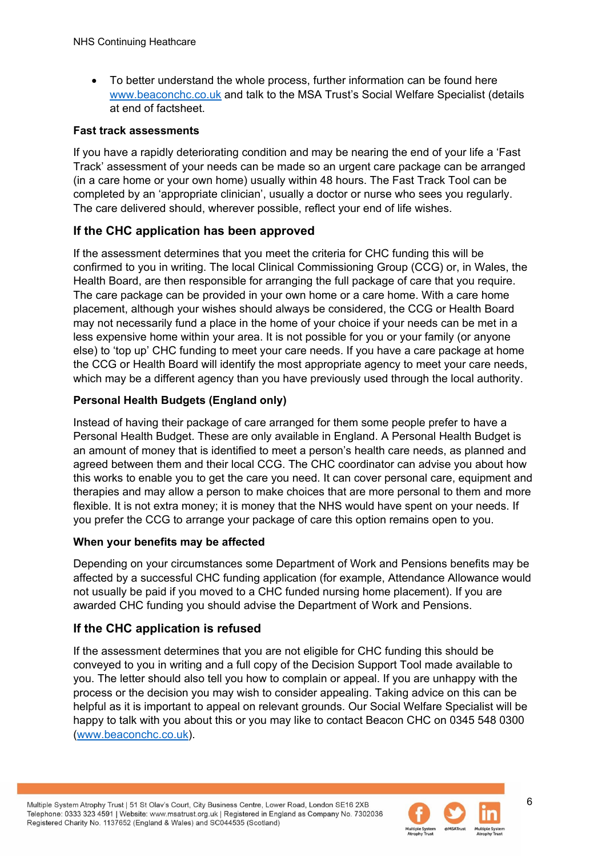• To better understand the whole process, further information can be found here [www.beaconchc.co.uk](http://www.beaconchc.co.uk/) and talk to the MSA Trust's Social Welfare Specialist (details at end of factsheet.

#### **Fast track assessments**

If you have a rapidly deteriorating condition and may be nearing the end of your life a 'Fast Track' assessment of your needs can be made so an urgent care package can be arranged (in a care home or your own home) usually within 48 hours. The Fast Track Tool can be completed by an 'appropriate clinician', usually a doctor or nurse who sees you regularly. The care delivered should, wherever possible, reflect your end of life wishes.

#### **If the CHC application has been approved**

If the assessment determines that you meet the criteria for CHC funding this will be confirmed to you in writing. The local Clinical Commissioning Group (CCG) or, in Wales, the Health Board, are then responsible for arranging the full package of care that you require. The care package can be provided in your own home or a care home. With a care home placement, although your wishes should always be considered, the CCG or Health Board may not necessarily fund a place in the home of your choice if your needs can be met in a less expensive home within your area. It is not possible for you or your family (or anyone else) to 'top up' CHC funding to meet your care needs. If you have a care package at home the CCG or Health Board will identify the most appropriate agency to meet your care needs, which may be a different agency than you have previously used through the local authority.

#### **Personal Health Budgets (England only)**

Instead of having their package of care arranged for them some people prefer to have a Personal Health Budget. These are only available in England. A Personal Health Budget is an amount of money that is identified to meet a person's health care needs, as planned and agreed between them and their local CCG. The CHC coordinator can advise you about how this works to enable you to get the care you need. It can cover personal care, equipment and therapies and may allow a person to make choices that are more personal to them and more flexible. It is not extra money; it is money that the NHS would have spent on your needs. If you prefer the CCG to arrange your package of care this option remains open to you.

#### **When your benefits may be affected**

Depending on your circumstances some Department of Work and Pensions benefits may be affected by a successful CHC funding application (for example, Attendance Allowance would not usually be paid if you moved to a CHC funded nursing home placement). If you are awarded CHC funding you should advise the Department of Work and Pensions.

#### **If the CHC application is refused**

If the assessment determines that you are not eligible for CHC funding this should be conveyed to you in writing and a full copy of the Decision Support Tool made available to you. The letter should also tell you how to complain or appeal. If you are unhappy with the process or the decision you may wish to consider appealing. Taking advice on this can be helpful as it is important to appeal on relevant grounds. Our Social Welfare Specialist will be happy to talk with you about this or you may like to contact Beacon CHC on 0345 548 0300 [\(www.beaconchc.co.uk\)](http://www.beaconchc.co.uk/).

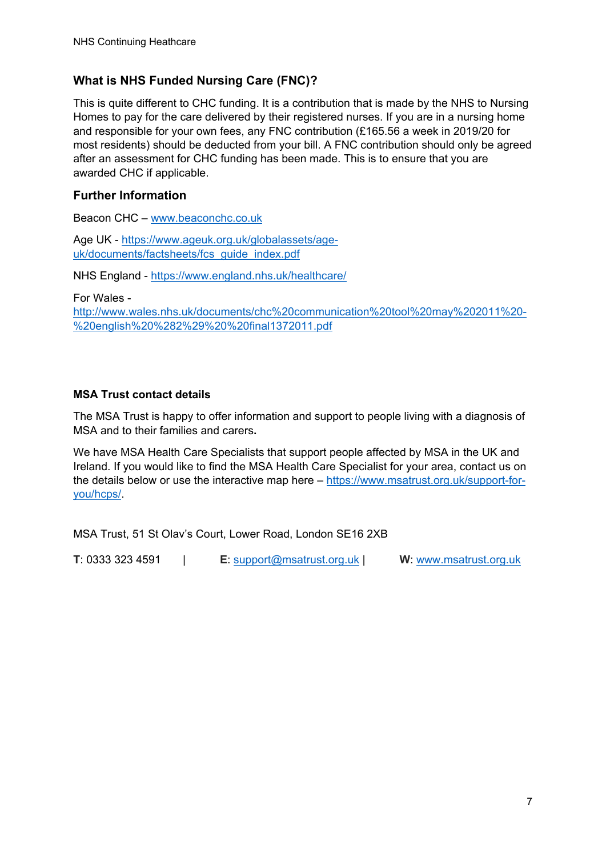#### **What is NHS Funded Nursing Care (FNC)?**

This is quite different to CHC funding. It is a contribution that is made by the NHS to Nursing Homes to pay for the care delivered by their registered nurses. If you are in a nursing home and responsible for your own fees, any FNC contribution (£165.56 a week in 2019/20 for most residents) should be deducted from your bill. A FNC contribution should only be agreed after an assessment for CHC funding has been made. This is to ensure that you are awarded CHC if applicable.

#### **Further Information**

Beacon CHC – [www.beaconchc.co.uk](http://www.beaconchc.co.uk/) 

Age UK - [https://www.ageuk.org.uk/globalassets/age](https://www.ageuk.org.uk/globalassets/age-uk/documents/factsheets/fcs_guide_index.pdf)uk/documents/factsheets/fcs\_quide\_index.pdf

NHS England -<https://www.england.nhs.uk/healthcare/>

For Wales -

[http://www.wales.nhs.uk/documents/chc%20communication%20tool%20may%202011%20-](http://www.wales.nhs.uk/documents/chc%20communication%20tool%20may%202011%20-%20english%20%282%29%20%20final1372011.pdf) [%20english%20%282%29%20%20final1372011.pdf](http://www.wales.nhs.uk/documents/chc%20communication%20tool%20may%202011%20-%20english%20%282%29%20%20final1372011.pdf)

#### **MSA Trust contact details**

The MSA Trust is happy to offer information and support to people living with a diagnosis of MSA and to their families and carers**.**

We have MSA Health Care Specialists that support people affected by MSA in the UK and Ireland. If you would like to find the MSA Health Care Specialist for your area, contact us on the details below or use the interactive map here – [https://www.msatrust.org.uk/support-for](https://www.msatrust.org.uk/support-for-you/hcps/)[you/hcps/.](https://www.msatrust.org.uk/support-for-you/hcps/)

MSA Trust, 51 St Olav's Court, Lower Road, London SE16 2XB

**T**: 0333 323 4591 | **E**: [support@msatrust.org.uk](mailto:support@msatrust.org.uk) | **W**: [www.msatrust.org.uk](http://www.msatrust.org.uk/)